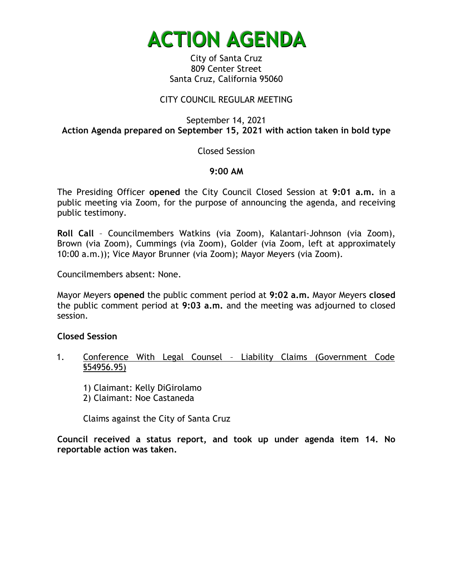

City of Santa Cruz 809 Center Street Santa Cruz, California 95060

# CITY COUNCIL REGULAR MEETING

September 14, 2021 **Action Agenda prepared on September 15, 2021 with action taken in bold type**

# Closed Session

# **9:00 AM**

The Presiding Officer **opened** the City Council Closed Session at **9:01 a.m.** in a public meeting via Zoom, for the purpose of announcing the agenda, and receiving public testimony.

**Roll Call** – Councilmembers Watkins (via Zoom), Kalantari-Johnson (via Zoom), Brown (via Zoom), Cummings (via Zoom), Golder (via Zoom, left at approximately 10:00 a.m.)); Vice Mayor Brunner (via Zoom); Mayor Meyers (via Zoom).

Councilmembers absent: None.

Mayor Meyers **opened** the public comment period at **9:02 a.m.** Mayor Meyers **closed**  the public comment period at **9:03 a.m.** and the meeting was adjourned to closed session.

# **Closed Session**

1. Conference With Legal Counsel – Liability Claims (Government Code §54956.95)

1) Claimant: Kelly DiGirolamo 2) Claimant: Noe Castaneda

Claims against the City of Santa Cruz

**Council received a status report, and took up under agenda item 14. No reportable action was taken.**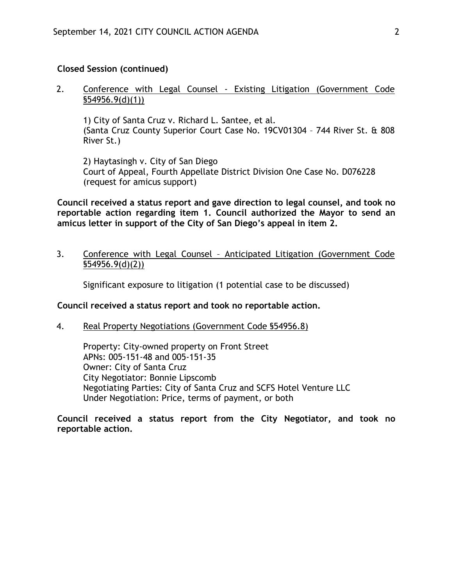## **Closed Session (continued)**

2. Conference with Legal Counsel - Existing Litigation (Government Code §54956.9(d)(1))

1) City of Santa Cruz v. Richard L. Santee, et al. (Santa Cruz County Superior Court Case No. 19CV01304 – 744 River St. & 808 River St.)

2) Haytasingh v. City of San Diego Court of Appeal, Fourth Appellate District Division One Case No. D076228 (request for amicus support)

**Council received a status report and gave direction to legal counsel, and took no reportable action regarding item 1. Council authorized the Mayor to send an amicus letter in support of the City of San Diego's appeal in item 2.**

3. Conference with Legal Counsel – Anticipated Litigation (Government Code §54956.9(d)(2))

Significant exposure to litigation (1 potential case to be discussed)

#### **Council received a status report and took no reportable action.**

4. Real Property Negotiations (Government Code §54956.8)

Property: City-owned property on Front Street APNs: 005-151-48 and 005-151-35 Owner: City of Santa Cruz City Negotiator: Bonnie Lipscomb Negotiating Parties: City of Santa Cruz and SCFS Hotel Venture LLC Under Negotiation: Price, terms of payment, or both

**Council received a status report from the City Negotiator, and took no reportable action.**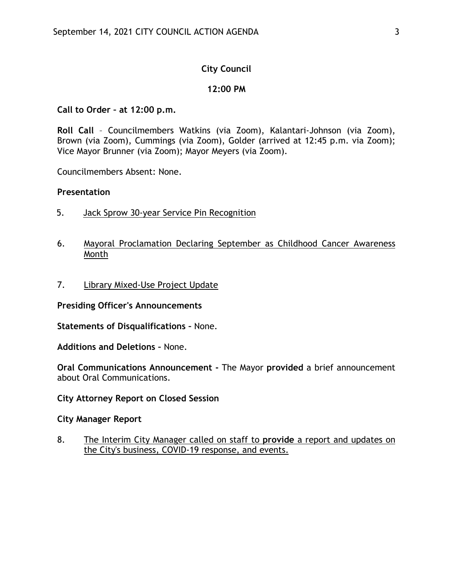# **City Council**

## **12:00 PM**

### **Call to Order – at 12:00 p.m.**

**Roll Call** – Councilmembers Watkins (via Zoom), Kalantari-Johnson (via Zoom), Brown (via Zoom), Cummings (via Zoom), Golder (arrived at 12:45 p.m. via Zoom); Vice Mayor Brunner (via Zoom); Mayor Meyers (via Zoom).

Councilmembers Absent: None.

#### **Presentation**

- 5. Jack Sprow 30-year Service Pin Recognition
- 6. Mayoral Proclamation Declaring September as Childhood Cancer Awareness Month
- 7. Library Mixed-Use Project Update

**Presiding Officer's Announcements**

**Statements of Disqualifications –** None.

**Additions and Deletions –** None.

**Oral Communications Announcement -** The Mayor **provided** a brief announcement about Oral Communications.

**City Attorney Report on Closed Session**

**City Manager Report**

8. The Interim City Manager called on staff to **provide** a report and updates on the City's business, COVID-19 response, and events.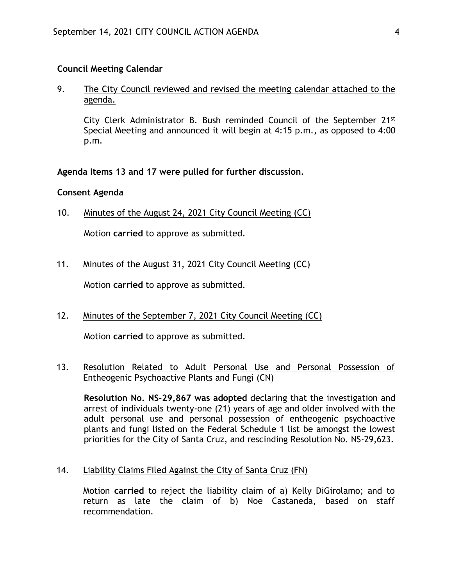#### **Council Meeting Calendar**

9. The City Council reviewed and revised the meeting calendar attached to the agenda.

City Clerk Administrator B. Bush reminded Council of the September 21st Special Meeting and announced it will begin at 4:15 p.m., as opposed to 4:00 p.m.

#### **Agenda Items 13 and 17 were pulled for further discussion.**

#### **Consent Agenda**

10. Minutes of the August 24, 2021 City Council Meeting (CC)

Motion **carried** to approve as submitted.

11. Minutes of the August 31, 2021 City Council Meeting (CC)

Motion **carried** to approve as submitted.

12. Minutes of the September 7, 2021 City Council Meeting (CC)

Motion **carried** to approve as submitted.

### 13. Resolution Related to Adult Personal Use and Personal Possession of Entheogenic Psychoactive Plants and Fungi (CN)

**Resolution No. NS-29,867 was adopted** declaring that the investigation and arrest of individuals twenty-one (21) years of age and older involved with the adult personal use and personal possession of entheogenic psychoactive plants and fungi listed on the Federal Schedule 1 list be amongst the lowest priorities for the City of Santa Cruz, and rescinding Resolution No. NS-29,623.

14. Liability Claims Filed Against the City of Santa Cruz (FN)

Motion **carried** to reject the liability claim of a) Kelly DiGirolamo; and to return as late the claim of b) Noe Castaneda, based on staff recommendation.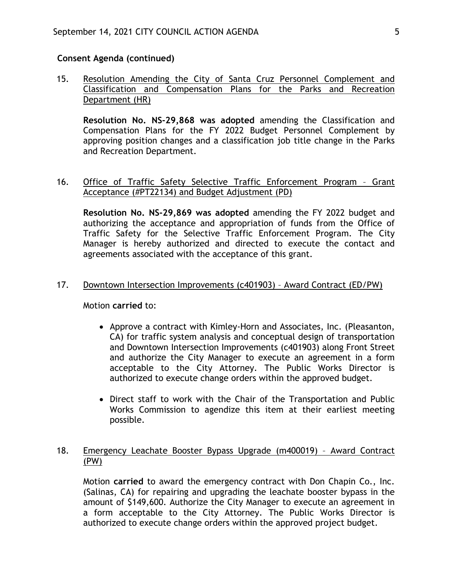#### **Consent Agenda (continued)**

15. Resolution Amending the City of Santa Cruz Personnel Complement and Classification and Compensation Plans for the Parks and Recreation Department (HR)

**Resolution No. NS-29,868 was adopted** amending the Classification and Compensation Plans for the FY 2022 Budget Personnel Complement by approving position changes and a classification job title change in the Parks and Recreation Department.

#### 16. Office of Traffic Safety Selective Traffic Enforcement Program – Grant Acceptance (#PT22134) and Budget Adjustment (PD)

**Resolution No. NS-29,869 was adopted** amending the FY 2022 budget and authorizing the acceptance and appropriation of funds from the Office of Traffic Safety for the Selective Traffic Enforcement Program. The City Manager is hereby authorized and directed to execute the contact and agreements associated with the acceptance of this grant.

#### 17. Downtown Intersection Improvements (c401903) – Award Contract (ED/PW)

Motion **carried** to:

- Approve a contract with Kimley-Horn and Associates, Inc. (Pleasanton, CA) for traffic system analysis and conceptual design of transportation and Downtown Intersection Improvements (c401903) along Front Street and authorize the City Manager to execute an agreement in a form acceptable to the City Attorney. The Public Works Director is authorized to execute change orders within the approved budget.
- Direct staff to work with the Chair of the Transportation and Public Works Commission to agendize this item at their earliest meeting possible.

# 18. Emergency Leachate Booster Bypass Upgrade (m400019) – Award Contract (PW)

Motion **carried** to award the emergency contract with Don Chapin Co., Inc. (Salinas, CA) for repairing and upgrading the leachate booster bypass in the amount of \$149,600. Authorize the City Manager to execute an agreement in a form acceptable to the City Attorney. The Public Works Director is authorized to execute change orders within the approved project budget.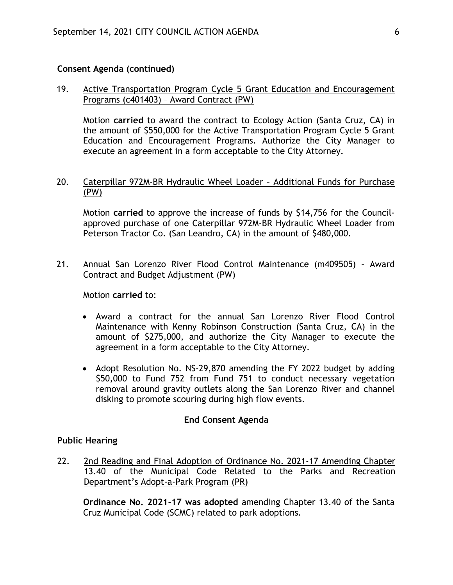#### **Consent Agenda (continued)**

### 19. Active Transportation Program Cycle 5 Grant Education and Encouragement Programs (c401403) – Award Contract (PW)

Motion **carried** to award the contract to Ecology Action (Santa Cruz, CA) in the amount of \$550,000 for the Active Transportation Program Cycle 5 Grant Education and Encouragement Programs. Authorize the City Manager to execute an agreement in a form acceptable to the City Attorney.

### 20. Caterpillar 972M-BR Hydraulic Wheel Loader – Additional Funds for Purchase (PW)

Motion **carried** to approve the increase of funds by \$14,756 for the Councilapproved purchase of one Caterpillar 972M-BR Hydraulic Wheel Loader from Peterson Tractor Co. (San Leandro, CA) in the amount of \$480,000.

### 21. Annual San Lorenzo River Flood Control Maintenance (m409505) – Award Contract and Budget Adjustment (PW)

Motion **carried** to:

- Award a contract for the annual San Lorenzo River Flood Control Maintenance with Kenny Robinson Construction (Santa Cruz, CA) in the amount of \$275,000, and authorize the City Manager to execute the agreement in a form acceptable to the City Attorney.
- Adopt Resolution No. NS-29,870 amending the FY 2022 budget by adding \$50,000 to Fund 752 from Fund 751 to conduct necessary vegetation removal around gravity outlets along the San Lorenzo River and channel disking to promote scouring during high flow events.

### **End Consent Agenda**

### **Public Hearing**

22. 2nd Reading and Final Adoption of Ordinance No. 2021-17 Amending Chapter 13.40 of the Municipal Code Related to the Parks and Recreation Department's Adopt-a-Park Program (PR)

**Ordinance No. 2021-17 was adopted** amending Chapter 13.40 of the Santa Cruz Municipal Code (SCMC) related to park adoptions.